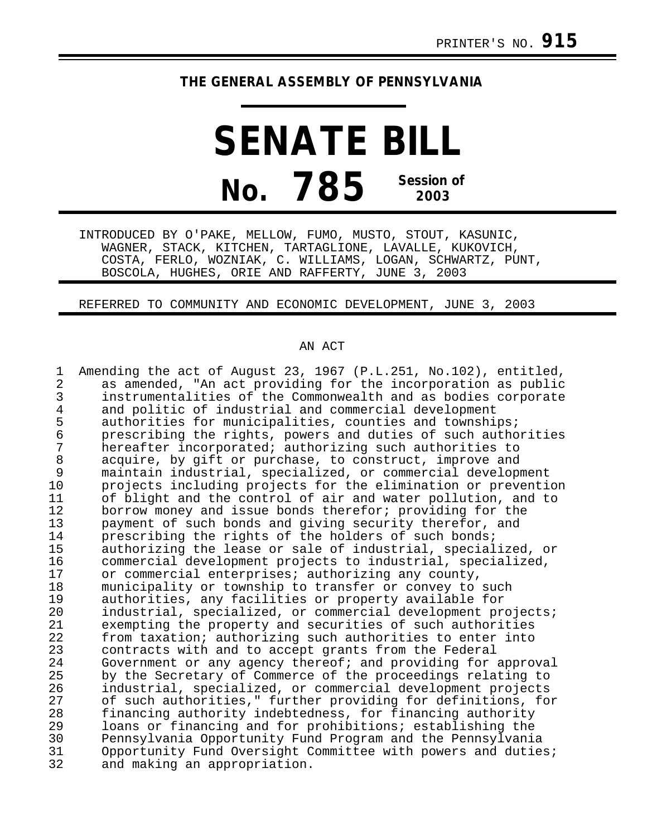## **THE GENERAL ASSEMBLY OF PENNSYLVANIA**

**SENATE BILL No. 785 Session of 2003**

INTRODUCED BY O'PAKE, MELLOW, FUMO, MUSTO, STOUT, KASUNIC, WAGNER, STACK, KITCHEN, TARTAGLIONE, LAVALLE, KUKOVICH, COSTA, FERLO, WOZNIAK, C. WILLIAMS, LOGAN, SCHWARTZ, PUNT, BOSCOLA, HUGHES, ORIE AND RAFFERTY, JUNE 3, 2003

REFERRED TO COMMUNITY AND ECONOMIC DEVELOPMENT, JUNE 3, 2003

## AN ACT

1 Amending the act of August 23, 1967 (P.L.251, No.102), entitled,<br>2 as amended. "An act providing for the incorporation as public 2 as amended, "An act providing for the incorporation as public<br>3 instrumentalities of the Commonwealth and as bodies corporate 3 instrumentalities of the Commonwealth and as bodies corporate<br>4 and politic of industrial and commercial development 4 and politic of industrial and commercial development<br>5 authorities for municipalities, counties and township 5 authorities for municipalities, counties and townships;<br>6 brescribing the rights, powers and duties of such autho 6 prescribing the rights, powers and duties of such authorities<br>7 bereafter incorporated; authorizing such authorities to 7 hereafter incorporated; authorizing such authorities to<br>8 acquire, by gift or purchase, to construct, improve and 8 acquire, by gift or purchase, to construct, improve and<br>9 maintain industrial, specialized, or commercial develop 9 maintain industrial, specialized, or commercial development<br>10 projects including projects for the elimination or preventi 10 projects including projects for the elimination or prevention<br>11 of blight and the control of air and water pollution, and to 11 of blight and the control of air and water pollution, and to<br>12 borrow monev and issue bonds therefor; providing for the 12 borrow money and issue bonds therefor; providing for the<br>13 payment of such bonds and giving security therefor, and 13 payment of such bonds and giving security therefor, and<br>14 prescribing the rights of the holders of such bonds; 14 prescribing the rights of the holders of such bonds;<br>15 authorizing the lease or sale of industrial, special 15 authorizing the lease or sale of industrial, specialized, or 16 commercial development projects to industrial, specialized,<br>17 or commercial enterprises; authorizing any county. 17 or commercial enterprises; authorizing any county,<br>18 municipality or township to transfer or convey to 18 municipality or township to transfer or convey to such<br>19 authorities, any facilities or property available for 19 authorities, any facilities or property available for 20 industrial, specialized, or commercial development projects;<br>21 exempting the property and securities of such authorities 21 exempting the property and securities of such authorities<br>22 from taxation; authorizing such authorities to enter into 22 from taxation; authorizing such authorities to enter into<br>23 contracts with and to accept grants from the Federal 23 contracts with and to accept grants from the Federal<br>24 Government or any agency thereof; and providing for 24 Government or any agency thereof; and providing for approval<br>25 by the Secretary of Commerce of the proceedings relating to 25 by the Secretary of Commerce of the proceedings relating to<br>26 industrial, specialized, or commercial development projects 26 industrial, specialized, or commercial development projects 27 of such authorities," further providing for definitions, for<br>28 financing authority indebtedness, for financing authority 28 financing authority indebtedness, for financing authority<br>29 loans or financing and for prohibitions; establishing the 29 loans or financing and for prohibitions; establishing the<br>30 Pennsylvania Opportunity Fund Program and the Pennsylvania 30 Pennsylvania Opportunity Fund Program and the Pennsylvania 31 Opportunity Fund Oversight Committee with powers and duties;<br>32 and making an appropriation. and making an appropriation.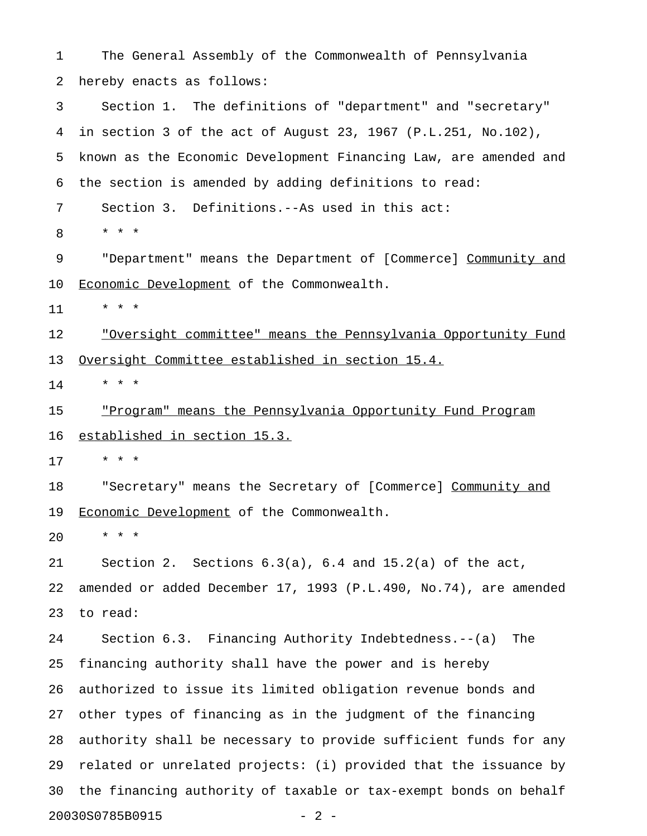1 The General Assembly of the Commonwealth of Pennsylvania 2 hereby enacts as follows: 3 Section 1. The definitions of "department" and "secretary" 4 in section 3 of the act of August 23, 1967 (P.L.251, No.102), 5 known as the Economic Development Financing Law, are amended and 6 the section is amended by adding definitions to read: 7 Section 3. Definitions.--As used in this act: 8 \* \* \* 9 "Department" means the Department of [Commerce] Community and 10 Economic Development of the Commonwealth. 11 \* \* \* 12 · <u>"Oversight committee" means the Pennsylvania Opportunity Fund</u> 13 Oversight Committee established in section 15.4.  $14$  \* \* \* 15 "Program" means the Pennsylvania Opportunity Fund Program 16 established in section 15.3. 17 \* \* \* 18 "Secretary" means the Secretary of [Commerce] Community and 19 Economic Development of the Commonwealth. 20 \* \* \* 21 Section 2. Sections 6.3(a), 6.4 and 15.2(a) of the act, 22 amended or added December 17, 1993 (P.L.490, No.74), are amended 23 to read: 24 Section 6.3. Financing Authority Indebtedness.--(a) The 25 financing authority shall have the power and is hereby 26 authorized to issue its limited obligation revenue bonds and 27 other types of financing as in the judgment of the financing 28 authority shall be necessary to provide sufficient funds for any 29 related or unrelated projects: (i) provided that the issuance by 30 the financing authority of taxable or tax-exempt bonds on behalf 20030S0785B0915 - 2 -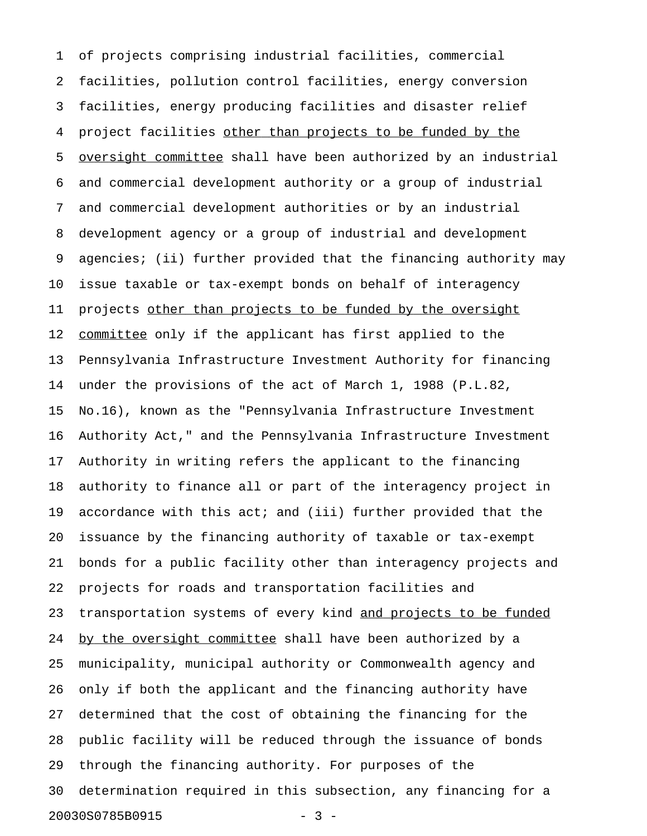1 of projects comprising industrial facilities, commercial 2 facilities, pollution control facilities, energy conversion 3 facilities, energy producing facilities and disaster relief 4 project facilities other than projects to be funded by the 5 oversight committee shall have been authorized by an industrial 6 and commercial development authority or a group of industrial 7 and commercial development authorities or by an industrial 8 development agency or a group of industrial and development 9 agencies; (ii) further provided that the financing authority may 10 issue taxable or tax-exempt bonds on behalf of interagency 11 projects other than projects to be funded by the oversight 12 committee only if the applicant has first applied to the 13 Pennsylvania Infrastructure Investment Authority for financing 14 under the provisions of the act of March 1, 1988 (P.L.82, 15 No.16), known as the "Pennsylvania Infrastructure Investment 16 Authority Act," and the Pennsylvania Infrastructure Investment 17 Authority in writing refers the applicant to the financing 18 authority to finance all or part of the interagency project in 19 accordance with this act; and (iii) further provided that the 20 issuance by the financing authority of taxable or tax-exempt 21 bonds for a public facility other than interagency projects and 22 projects for roads and transportation facilities and 23 transportation systems of every kind and projects to be funded 24 by the oversight committee shall have been authorized by a 25 municipality, municipal authority or Commonwealth agency and 26 only if both the applicant and the financing authority have 27 determined that the cost of obtaining the financing for the 28 public facility will be reduced through the issuance of bonds 29 through the financing authority. For purposes of the 30 determination required in this subsection, any financing for a 20030S0785B0915 - 3 -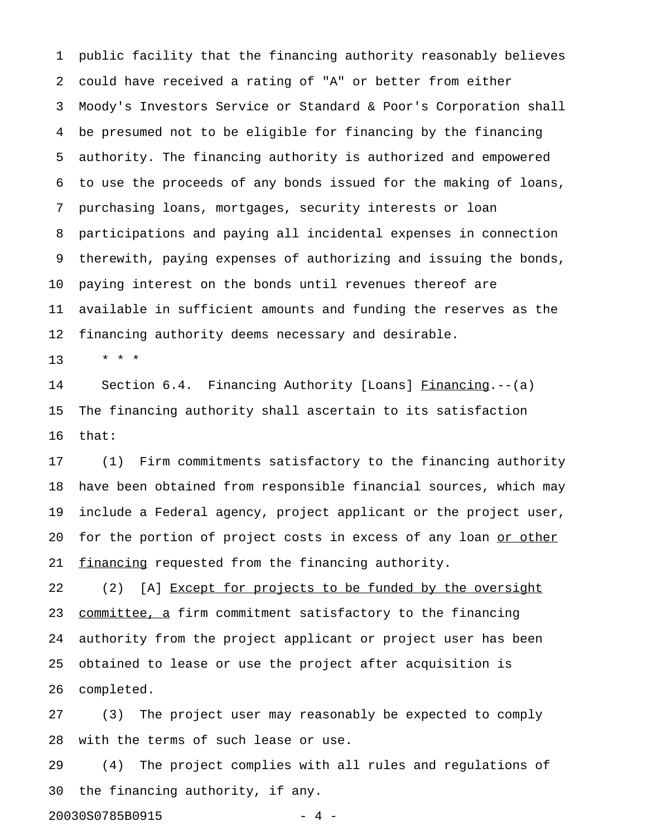1 public facility that the financing authority reasonably believes 2 could have received a rating of "A" or better from either 3 Moody's Investors Service or Standard & Poor's Corporation shall 4 be presumed not to be eligible for financing by the financing 5 authority. The financing authority is authorized and empowered 6 to use the proceeds of any bonds issued for the making of loans, 7 purchasing loans, mortgages, security interests or loan 8 participations and paying all incidental expenses in connection 9 therewith, paying expenses of authorizing and issuing the bonds, 10 paying interest on the bonds until revenues thereof are 11 available in sufficient amounts and funding the reserves as the 12 financing authority deems necessary and desirable.

13 \* \* \*

14 Section 6.4. Financing Authority [Loans] Financing.--(a) 15 The financing authority shall ascertain to its satisfaction 16 that:

17 (1) Firm commitments satisfactory to the financing authority 18 have been obtained from responsible financial sources, which may 19 include a Federal agency, project applicant or the project user, 20 for the portion of project costs in excess of any loan or other 21 financing requested from the financing authority.

22 (2) [A] Except for projects to be funded by the oversight 23 committee, a firm commitment satisfactory to the financing 24 authority from the project applicant or project user has been 25 obtained to lease or use the project after acquisition is 26 completed.

27 (3) The project user may reasonably be expected to comply 28 with the terms of such lease or use.

29 (4) The project complies with all rules and regulations of 30 the financing authority, if any.

20030S0785B0915 - 4 -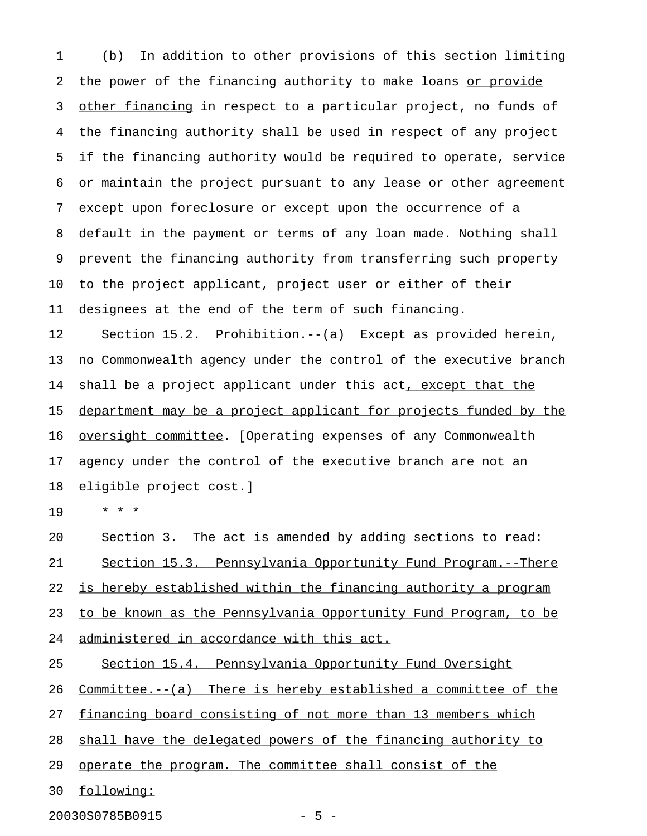1 (b) In addition to other provisions of this section limiting 2 the power of the financing authority to make loans or provide 3 other financing in respect to a particular project, no funds of 4 the financing authority shall be used in respect of any project 5 if the financing authority would be required to operate, service 6 or maintain the project pursuant to any lease or other agreement 7 except upon foreclosure or except upon the occurrence of a 8 default in the payment or terms of any loan made. Nothing shall 9 prevent the financing authority from transferring such property 10 to the project applicant, project user or either of their 11 designees at the end of the term of such financing. 12 Section 15.2. Prohibition.--(a) Except as provided herein, 13 no Commonwealth agency under the control of the executive branch 14 shall be a project applicant under this act, except that the 15 department may be a project applicant for projects funded by the 16 oversight committee. [Operating expenses of any Commonwealth 17 agency under the control of the executive branch are not an 18 eligible project cost.]

19 \* \* \*

20 Section 3. The act is amended by adding sections to read: 21 Section 15.3. Pennsylvania Opportunity Fund Program.--There 22 is hereby established within the financing authority a program 23 to be known as the Pennsylvania Opportunity Fund Program, to be 24 administered in accordance with this act.

25 Section 15.4. Pennsylvania Opportunity Fund Oversight

26 Committee.--(a) There is hereby established a committee of the

27 financing board consisting of not more than 13 members which

28 shall have the delegated powers of the financing authority to

29 operate the program. The committee shall consist of the

30 following: \_\_\_\_\_\_\_\_\_\_

20030S0785B0915 - 5 -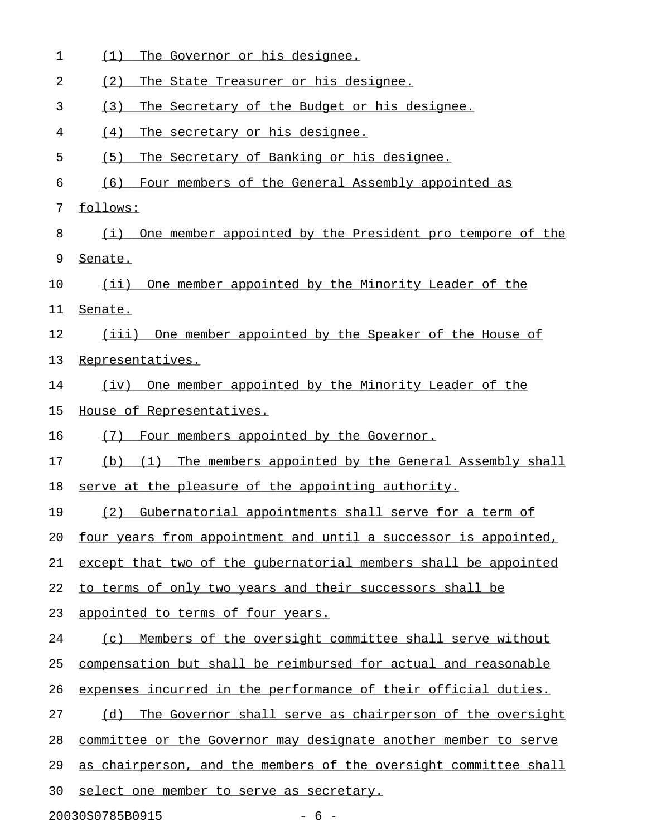| 1  | The Governor or his designee.<br>(1)                              |
|----|-------------------------------------------------------------------|
| 2  | (2)<br>The State Treasurer or his designee.                       |
| 3  | The Secretary of the Budget or his designee.<br>(3)               |
| 4  | (4)<br>The secretary or his designee.                             |
| 5  | (5)<br>The Secretary of Banking or his designee.                  |
| 6  | (6)<br>Four members of the General Assembly appointed as          |
| 7  | follows:                                                          |
| 8  | One member appointed by the President pro tempore of the<br>(i)   |
| 9  | Senate.                                                           |
| 10 | One member appointed by the Minority Leader of the<br>$(i$ ii)    |
| 11 | Senate.                                                           |
| 12 | (iii) One member appointed by the Speaker of the House of         |
| 13 | Representatives.                                                  |
| 14 | (iv) One member appointed by the Minority Leader of the           |
| 15 | House of Representatives.                                         |
| 16 | Four members appointed by the Governor.<br>(7)                    |
| 17 | The members appointed by the General Assembly shall<br>(b)<br>(1) |
| 18 | serve at the pleasure of the appointing authority.                |
| 19 | (2) Gubernatorial appointments shall serve for a term of          |
| 20 | four years from appointment and until a successor is appointed,   |
| 21 | except that two of the qubernatorial members shall be appointed   |
| 22 | to terms of only two years and their successors shall be          |
| 23 | appointed to terms of four years.                                 |
| 24 | Members of the oversight committee shall serve without<br>(C)     |
| 25 | compensation but shall be reimbursed for actual and reasonable    |
| 26 | expenses incurred in the performance of their official duties.    |
| 27 | The Governor shall serve as chairperson of the oversight<br>(d)   |
| 28 | committee or the Governor may designate another member to serve   |
| 29 | as chairperson, and the members of the oversight committee shall  |
| 30 | select one member to serve as secretary.                          |
|    | 20030S0785B0915<br>$-6-$                                          |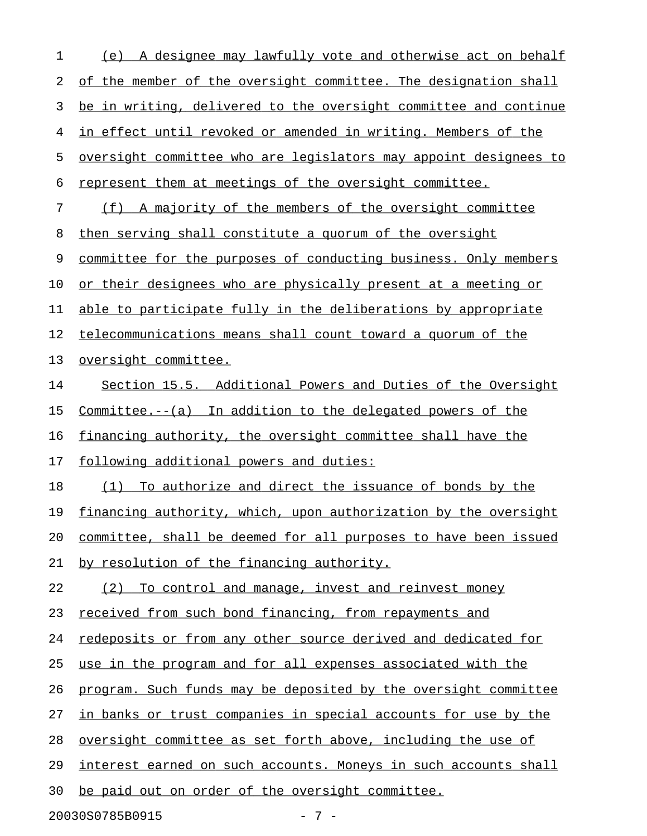1 (e) A designee may lawfully vote and otherwise act on behalf 2 of the member of the oversight committee. The designation shall 3 be in writing, delivered to the oversight committee and continue 4 in effect until revoked or amended in writing. Members of the 5 oversight committee who are legislators may appoint designees to 6 represent them at meetings of the oversight committee. 7 (f) A majority of the members of the oversight committee 8 then serving shall constitute a quorum of the oversight 9 committee for the purposes of conducting business. Only members 10 or their designees who are physically present at a meeting or 11 able to participate fully in the deliberations by appropriate 12 telecommunications means shall count toward a quorum of the 13 oversight committee. 14 Section 15.5. Additional Powers and Duties of the Oversight 15 Committee. $--(a)$  In addition to the delegated powers of the 16 financing authority, the oversight committee shall have the 17 following additional powers and duties: 18 (1) To authorize and direct the issuance of bonds by the 19 financing authority, which, upon authorization by the oversight 20 committee, shall be deemed for all purposes to have been issued 21 by resolution of the financing authority. 22 (2) To control and manage, invest and reinvest money 23 received from such bond financing, from repayments and 24 redeposits or from any other source derived and dedicated for 25 use in the program and for all expenses associated with the 26 program. Such funds may be deposited by the oversight committee 27 in banks or trust companies in special accounts for use by the 28 oversight committee as set forth above, including the use of 29 interest earned on such accounts. Moneys in such accounts shall 30 be paid out on order of the oversight committee.

20030S0785B0915 - 7 -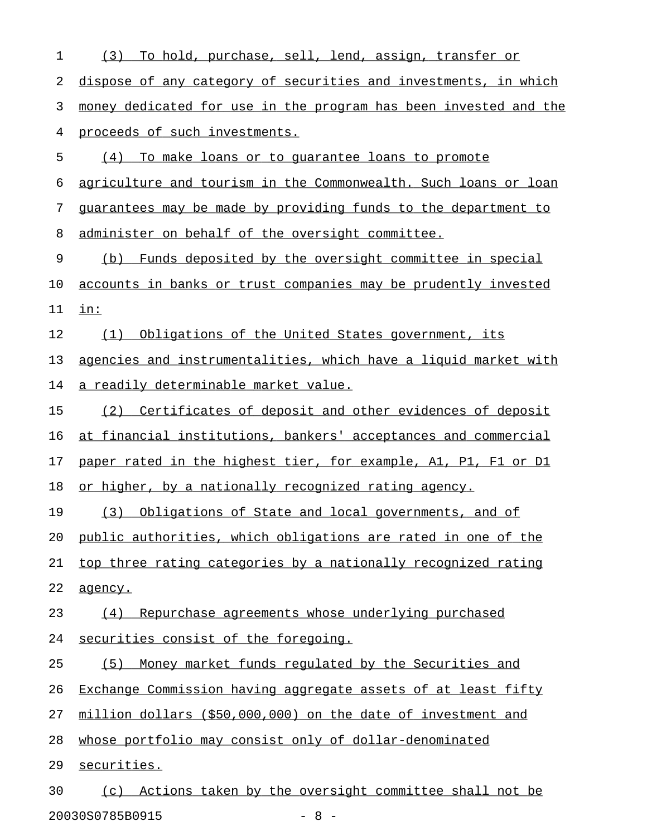| $\mathbf 1$ | (3) To hold, purchase, sell, lend, assign, transfer or           |
|-------------|------------------------------------------------------------------|
| 2           | dispose of any category of securities and investments, in which  |
| 3           | money dedicated for use in the program has been invested and the |
| 4           | proceeds of such investments.                                    |
| 5           | (4) To make loans or to guarantee loans to promote               |
| 6           | agriculture and tourism in the Commonwealth. Such loans or loan  |
| 7           | guarantees may be made by providing funds to the department to   |
| 8           | administer on behalf of the oversight committee.                 |
| 9           | (b) Funds deposited by the oversight committee in special        |
| 10          | accounts in banks or trust companies may be prudently invested   |
| 11          | $\mathbf{in}$ :                                                  |
| 12          | Obligations of the United States government, its<br>(1)          |
| 13          | agencies and instrumentalities, which have a liquid market with  |
| 14          | <u>a readily determinable market value.</u>                      |
| 15          | (2) Certificates of deposit and other evidences of deposit       |
| 16          | at financial institutions, bankers' acceptances and commercial   |
| 17          | paper rated in the highest tier, for example, A1, P1, F1 or D1   |
| 18          | or higher, by a nationally recognized rating agency.             |
| 19          | Obligations of State and local governments, and of<br>(3)        |
| 20          | public authorities, which obligations are rated in one of the    |
| 21          | top three rating categories by a nationally recognized rating    |
| 22          | agency.                                                          |
| 23          | Repurchase agreements whose underlying purchased<br>(4)          |
| 24          | securities consist of the foregoing.                             |
| 25          | Money market funds regulated by the Securities and<br>(5)        |
| 26          | Exchange Commission having aggregate assets of at least fifty    |
| 27          | million dollars (\$50,000,000) on the date of investment and     |
| 28          | whose portfolio may consist only of dollar-denominated           |
| 29          | securities.                                                      |
| 30          | (c) Actions taken by the oversight committee shall not be        |
|             |                                                                  |

20030S0785B0915 - 8 -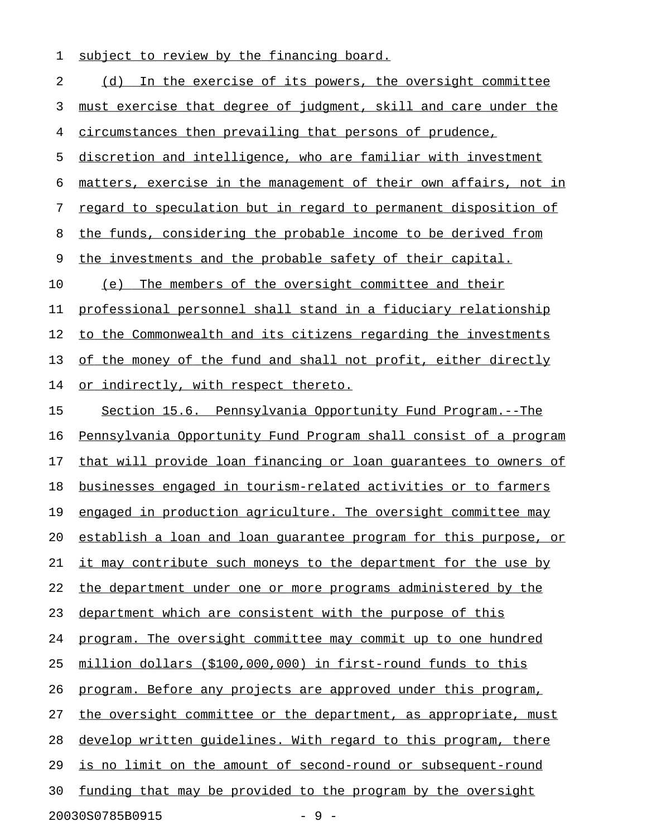1 subject to review by the financing board.

2 (d) In the exercise of its powers, the oversight committee 3 must exercise that degree of judgment, skill and care under the 4 circumstances then prevailing that persons of prudence, 5 discretion and intelligence, who are familiar with investment 6 matters, exercise in the management of their own affairs, not in 7 regard to speculation but in regard to permanent disposition of 8 the funds, considering the probable income to be derived from 9 the investments and the probable safety of their capital. 10 (e) The members of the oversight committee and their 11 professional personnel shall stand in a fiduciary relationship 12 to the Commonwealth and its citizens regarding the investments 13 of the money of the fund and shall not profit, either directly 14 or indirectly, with respect thereto. 15 Section 15.6. Pennsylvania Opportunity Fund Program.--The 16 Pennsylvania Opportunity Fund Program shall consist of a program 17 that will provide loan financing or loan quarantees to owners of 18 businesses engaged in tourism-related activities or to farmers 19 engaged in production agriculture. The oversight committee may 20 establish a loan and loan quarantee program for this purpose, or 21 it may contribute such moneys to the department for the use by 22 the department under one or more programs administered by the 23 department which are consistent with the purpose of this 24 program. The oversight committee may commit up to one hundred 25 million dollars (\$100,000,000) in first-round funds to this 26 program. Before any projects are approved under this program, 27 the oversight committee or the department, as appropriate, must 28 develop written quidelines. With regard to this program, there 29 is no limit on the amount of second-round or subsequent-round 30 funding that may be provided to the program by the oversight 20030S0785B0915 - 9 -